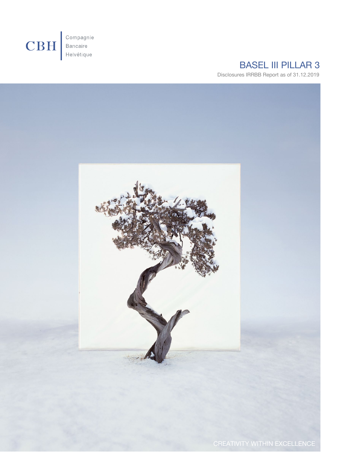

# BASEL III PILLAR 3

Disclosures IRRBB Report as of 31.12.2019

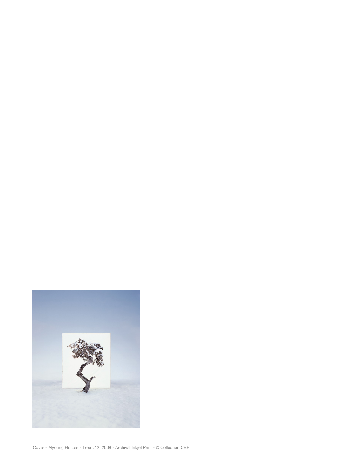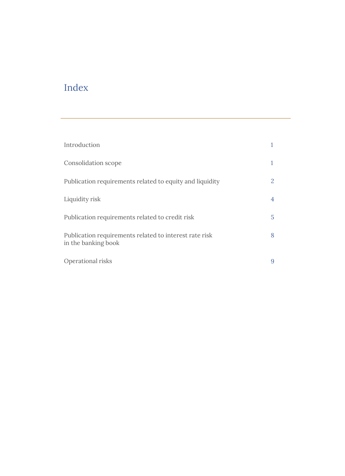# Index

| Introduction                                                                  |   |
|-------------------------------------------------------------------------------|---|
| Consolidation scope                                                           | 1 |
| Publication requirements related to equity and liquidity                      | 2 |
| Liquidity risk                                                                | 4 |
| Publication requirements related to credit risk                               | 5 |
| Publication requirements related to interest rate risk<br>in the banking book | 8 |
| Operational risks                                                             | 9 |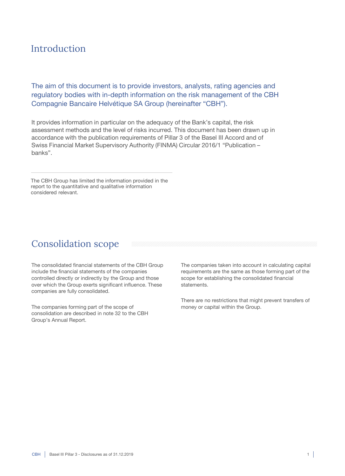### Introduction

The aim of this document is to provide investors, analysts, rating agencies and regulatory bodies with in-depth information on the risk management of the CBH Compagnie Bancaire Helvétique SA Group (hereinafter "CBH").

It provides information in particular on the adequacy of the Bank's capital, the risk assessment methods and the level of risks incurred. This document has been drawn up in accordance with the publication requirements of Pillar 3 of the Basel III Accord and of Swiss Financial Market Supervisory Authority (FINMA) Circular 2016/1 "Publication – banks".

The CBH Group has limited the information provided in the report to the quantitative and qualitative information considered relevant.

### Consolidation scope

The consolidated financial statements of the CBH Group include the financial statements of the companies controlled directly or indirectly by the Group and those over which the Group exerts significant influence. These companies are fully consolidated.

The companies forming part of the scope of consolidation are described in note 32 to the CBH Group's Annual Report.

The companies taken into account in calculating capital requirements are the same as those forming part of the scope for establishing the consolidated financial statements.

There are no restrictions that might prevent transfers of money or capital within the Group.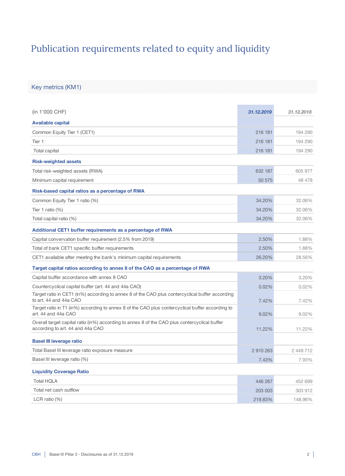# Publication requirements related to equity and liquidity

Key metrics (KM1)

| (in 1'000 CHF)                                                                                                                    | 31.12.2019 | 31,12,2018 |
|-----------------------------------------------------------------------------------------------------------------------------------|------------|------------|
| <b>Available capital</b>                                                                                                          |            |            |
| Common Equity Tier 1 (CET1)                                                                                                       | 216 181    | 194 290    |
| Tier 1                                                                                                                            | 216 181    | 194 290    |
| Total capital                                                                                                                     | 216 181    | 194 290    |
| <b>Risk-weighted assets</b>                                                                                                       |            |            |
| Total risk-weighted assets (RWA)                                                                                                  | 632 187    | 605 977    |
| Minimum capital requirement                                                                                                       | 50 575     | 48 478     |
| Risk-based capital ratios as a percentage of RWA                                                                                  |            |            |
| Common Equity Tier 1 ratio (%)                                                                                                    | 34.20%     | 32.06%     |
| Tier 1 ratio $(\%)$                                                                                                               | 34.20%     | 32.06%     |
| Total capital ratio (%)                                                                                                           | 34.20%     | 32.06%     |
| Additional CET1 buffer requirements as a percentage of RWA                                                                        |            |            |
| Capital convervation buffer requirement (2.5% from 2019)                                                                          | 2.50%      | 1.88%      |
| Total of bank CET1 specific buffer requirements                                                                                   | 2.50%      | 1.88%      |
| CET1 available after meeting the bank's minimum capital requirements                                                              | 26.20%     | 28.56%     |
| Target capital ratios according to annex 8 of the CAO as a percentage of RWA                                                      |            |            |
| Capital buffer accordance with annex 8 CAO                                                                                        | 3.20%      | 3.20%      |
| Countercyclical capital buffer (art. 44 and 44a CAO)                                                                              | 0.02%      | 0.02%      |
| Target ratio in CET1 (in%) according to annex 8 of the CAO plus contercyclical buffer according<br>to art. 44 and 44a CAO         | 7.42%      | 7.42%      |
| Target ratio in T1 (in%) according to annex 8 of the CAO plus contercyclical buffer according to<br>art. 44 and 44a CAO           | 9.02%      | 9.02%      |
| Overall target capital ratio (in%) according to annex 8 of the CAO plus contercyclical buffer<br>according to art. 44 and 44a CAO | 11.22%     | 11.22%     |
| <b>Basel III leverage ratio</b>                                                                                                   |            |            |
| Total Basel III leverage ratio exposure measure                                                                                   | 2910263    | 2 449 712  |
| Basel III leverage ratio (%)                                                                                                      | 7.43%      | 7.93%      |
| <b>Liquidity Coverage Ratio</b>                                                                                                   |            |            |
| <b>Total HQLA</b>                                                                                                                 | 446 267    | 452 699    |
| Total net cash outflow                                                                                                            | 203 003    | 303 912    |
| LCR ratio $(\%)$                                                                                                                  | 219.83%    | 148.96%    |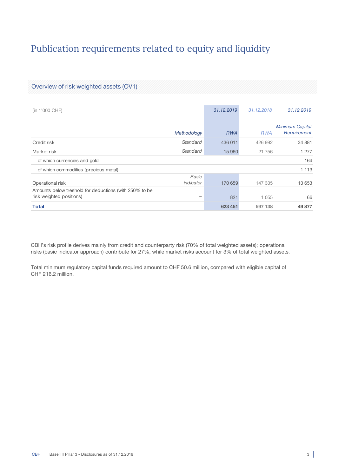# Publication requirements related to equity and liquidity

#### Overview of risk weighted assets (OV1)

| (in 1'000 CHF)                                                                     |                          | 31.12.2019 | 31.12.2018 | 31.12.2019                            |
|------------------------------------------------------------------------------------|--------------------------|------------|------------|---------------------------------------|
|                                                                                    | Methodology              | <b>RWA</b> | <b>RWA</b> | <b>Minimum Capital</b><br>Requirement |
| Credit risk                                                                        | Standard                 | 436 011    | 426 992    | 34 881                                |
| Market risk                                                                        | Standard                 | 15 960     | 21 756     | 1 277                                 |
| of which currencies and gold                                                       |                          |            |            | 164                                   |
| of which commodities (precious metal)                                              |                          |            |            | 1 1 1 3                               |
| Operational risk                                                                   | Basic<br>indicator       | 170 659    | 147 335    | 13 653                                |
| Amounts below treshold for deductions (with 250% to be<br>risk weighted positions) | $\overline{\phantom{0}}$ | 821        | 1 0 5 5    | 66                                    |
| <b>Total</b>                                                                       |                          | 623 451    | 597 138    | 49 877                                |

CBH's risk profile derives mainly from credit and counterparty risk (70% of total weighted assets); operational risks (basic indicator approach) contribute for 27%, while market risks account for 3% of total weighted assets.

Total minimum regulatory capital funds required amount to CHF 50.6 million, compared with eligible capital of CHF 216.2 million.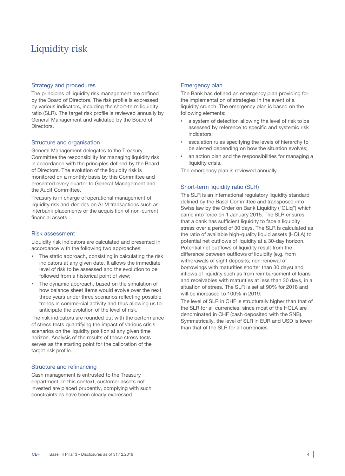## Liquidity risk

#### Strategy and procedures

The principles of liquidity risk management are defined by the Board of Directors. The risk profile is expressed by various indicators, including the short-term liquidity ratio (SLR). The target risk profile is reviewed annually by General Management and validated by the Board of Directors.

#### Structure and organisation

General Management delegates to the Treasury Committee the responsibility for managing liquidity risk in accordance with the principles defined by the Board of Directors. The evolution of the liquidity risk is monitored on a monthly basis by this Committee and presented every quarter to General Management and the Audit Committee.

Treasury is in charge of operational management of liquidity risk and decides on ALM transactions such as interbank placements or the acquisition of non-current financial assets.

#### Risk assessment

Liquidity risk indicators are calculated and presented in accordance with the following two approaches:

- The static approach, consisting in calculating the risk indicators at any given date. It allows the immediate level of risk to be assessed and the evolution to be followed from a historical point of view;
- The dynamic approach, based on the simulation of how balance sheet items would evolve over the next three years under three scenarios reflecting possible trends in commercial activity and thus allowing us to anticipate the evolution of the level of risk.

The risk indicators are rounded out with the performance of stress tests quantifying the impact of various crisis scenarios on the liquidity position at any given time horizon. Analysis of the results of these stress tests serves as the starting point for the calibration of the target risk profile.

#### Structure and refinancing

Cash management is entrusted to the Treasury department. In this context, customer assets not invested are placed prudently, complying with such constraints as have been clearly expressed.

#### Emergency plan

The Bank has defined an emergency plan providing for the implementation of strategies in the event of a liquidity crunch. The emergency plan is based on the following elements:

- a system of detection allowing the level of risk to be assessed by reference to specific and systemic risk indicators;
- escalation rules specifying the levels of hierarchy to be alerted depending on how the situation evolves;
- an action plan and the responsibilities for managing a liquidity crisis.

The emergency plan is reviewed annually.

#### Short-term liquidity ratio (SLR)

The SLR is an international regulatory liquidity standard defined by the Basel Committee and transposed into Swiss law by the Order on Bank Liquidity ("OLiq") which came into force on 1 January 2015. The SLR ensures that a bank has sufficient liquidity to face a liquidity stress over a period of 30 days. The SLR is calculated as the ratio of available high-quality liquid assets (HQLA) to potential net outflows of liquidity at a 30-day horizon. Potential net outflows of liquidity result from the difference between outflows of liquidity (e.g. from withdrawals of sight deposits, non-renewal of borrowings with maturities shorter than 30 days) and inflows of liquidity such as from reimbursement of loans and receivables with maturities at less than 30 days, in a situation of stress. The SLR is set at 90% for 2018 and will be increased to 100% in 2019.

The level of SLR in CHF is structurally higher than that of the SLR for all currencies, since most of the HQLA are denominated in CHF (cash deposited with the SNB). Symmetrically, the level of SLR in EUR and USD is lower than that of the SLR for all currencies.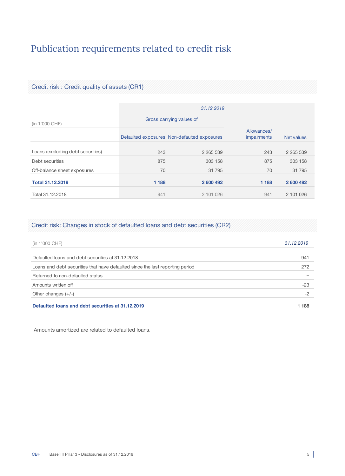# Publication requirements related to credit risk

### Credit risk : Credit quality of assets (CR1)

|                                   | 31.12.2019 |                                             |                                   |               |  |  |
|-----------------------------------|------------|---------------------------------------------|-----------------------------------|---------------|--|--|
| (in 1'000 CHF)                    |            | Gross carrying values of                    |                                   |               |  |  |
|                                   |            | Defaulted exposures Non-defaulted exposures | Allowances/<br><i>impairments</i> | Net values    |  |  |
| Loans (excluding debt securities) | 243        | 2 2 6 5 5 3 9                               | 243                               | 2 2 6 5 5 3 9 |  |  |
| Debt securities                   | 875        | 303 158                                     | 875                               | 303 158       |  |  |
| Off-balance sheet exposures       | 70         | 31 795                                      | 70                                | 31 795        |  |  |
| <b>Total 31.12.2019</b>           | 1 1 8 8    | 2 600 492                                   | 1 1 8 8                           | 2 600 492     |  |  |
| Total 31.12.2018                  | 941        | 2 101 026                                   | 941                               | 2 101 026     |  |  |

### Credit risk: Changes in stock of defaulted loans and debt securities (CR2)

| (in 1'000 CHF)                                                                | 31.12.2019 |
|-------------------------------------------------------------------------------|------------|
| Defaulted loans and debt securities at 31.12.2018                             | 941        |
| Loans and debt securities that have defaulted since the last reporting period | 272        |
| Returned to non-defaulted status                                              |            |
| Amounts written off                                                           | $-23$      |
| Other changes $(+/-)$                                                         | -2         |
| Defaulted loans and debt securities at 31.12.2019                             | 1 188      |

Amounts amortized are related to defaulted loans.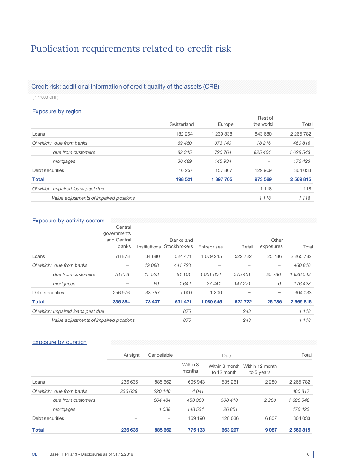# Publication requirements related to credit risk

### Credit risk: additional information of credit quality of the assets (CRB)

(in 1'000 CHF)

#### Exposure by region

|                                         |             |           | Rest of   |               |
|-----------------------------------------|-------------|-----------|-----------|---------------|
|                                         | Switzerland | Europe    | the world | Total         |
| Loans                                   | 182 264     | 1 239 838 | 843 680   | 2 2 6 5 7 8 2 |
| Of which: due from banks                | 69 460      | 373 140   | 18 216    | 460 816       |
| due from customers                      | 82 315      | 720 764   | 825 464   | 1 628 543     |
| mortgages                               | 30 489      | 145 934   |           | 176 423       |
| Debt securities                         | 16 257      | 157 867   | 129 909   | 304 033       |
| <b>Total</b>                            | 198 521     | 1 397 705 | 973 589   | 2 569 815     |
| Of which: Impaired loans past due       |             |           | 1 1 1 8   | 1 1 1 8       |
| Value adjustments of impaired positions |             |           | 1 1 1 8   | 1 1 1 8       |

#### Exposure by activity sectors

|                                         | Central                             |        |                                         |             |         |                    |               |
|-----------------------------------------|-------------------------------------|--------|-----------------------------------------|-------------|---------|--------------------|---------------|
|                                         | governments<br>and Central<br>banks |        | Banks and<br>Instituttions Stockbrokers | Entreprises | Retail  | Other<br>exposures | Total         |
| Loans                                   | 78 878                              | 34 680 | 524 471                                 | 1 079 245   | 522 722 | 25 786             | 2 2 6 5 7 8 2 |
| Of which: due from banks                | $\qquad \qquad -$                   | 19 088 | 441 728                                 |             |         | -                  | 460 816       |
| due from customers                      | 78 878                              | 15 523 | 81 101                                  | 1051804     | 375 451 | 25 786             | 1 628 543     |
| mortgages                               |                                     | 69     | 1642                                    | 27441       | 147 271 | 0                  | 176 423       |
| Debt securities                         | 256 976                             | 38 757 | 7 0 0 0                                 | 1 300       |         | -                  | 304 033       |
| <b>Total</b>                            | 335 854                             | 73 437 | 531 471                                 | 1 080 545   | 522722  | 25 786             | 2 569 815     |
| Of which: Impaired loans past due       |                                     |        | 875                                     |             | 243     |                    | 1 1 1 8       |
| Value adjustments of impaired positions |                                     |        | 875                                     |             | 243     |                    | 1 1 1 8       |

#### Exposure by duration

|                          | At sight | Cancellable | Due                |             |                                              | Total         |
|--------------------------|----------|-------------|--------------------|-------------|----------------------------------------------|---------------|
|                          |          |             | Within 3<br>months | to 12 month | Within 3 month Within 12 month<br>to 5 years |               |
| Loans                    | 236 636  | 885 662     | 605 943            | 535 261     | 2 2 8 0                                      | 2 2 6 5 7 8 2 |
| Of which: due from banks | 236 636  | 220 140     | 4 0 4 1            |             | $\overline{\phantom{0}}$                     | 460 817       |
| due from customers       |          | 664 484     | 453 368            | 508 410     | 2 2 8 0                                      | 1 628 542     |
| mortgages                | -        | 1038        | 148 534            | 26 851      | $\qquad \qquad -$                            | 176 423       |
| Debt securities          | -        | -           | 169 190            | 128 036     | 6807                                         | 304 033       |
| <b>Total</b>             | 236 636  | 885 662     | 775 133            | 663 297     | 9 0 87                                       | 2 569 815     |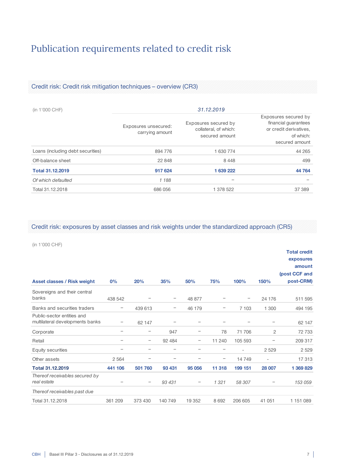# Publication requirements related to credit risk

### Credit risk: Credit risk mitigation techniques – overview (CR3)

| (in 1'000 CHF)                    | 31.12.2019                              |                                                                 |                                                                                                       |  |  |  |
|-----------------------------------|-----------------------------------------|-----------------------------------------------------------------|-------------------------------------------------------------------------------------------------------|--|--|--|
|                                   | Exposures unsecured:<br>carrying amount | Exposures secured by<br>collateral, of which:<br>secured amount | Exposures secured by<br>financial guarantees<br>or credit derivatives,<br>of which:<br>secured amount |  |  |  |
| Loans (including debt securities) | 894 776                                 | 1 630 774                                                       | 44 265                                                                                                |  |  |  |
| Off-balance sheet                 | 22 848                                  | 8448                                                            | 499                                                                                                   |  |  |  |
| <b>Total 31.12.2019</b>           | 917 624                                 | 1 639 222                                                       | 44 764                                                                                                |  |  |  |
| Of which defaulted                | 1188                                    |                                                                 |                                                                                                       |  |  |  |
| Total 31.12.2018                  | 686 056                                 | 1 378 522                                                       | 37 389                                                                                                |  |  |  |

Credit risk: exposures by asset classes and risk weights under the standardized approach (CR5)

(in 1'000 CHF)

|                                                               |         |                          |                   |        |                   |         |                          | <b>Total credit</b><br>exposures<br>amount<br>(post CCF and |
|---------------------------------------------------------------|---------|--------------------------|-------------------|--------|-------------------|---------|--------------------------|-------------------------------------------------------------|
| <b>Asset classes / Risk weight</b>                            | 0%      | 20%                      | 35%               | 50%    | 75%               | 100%    | 150%                     | post-CRM)                                                   |
| Sovereigns and their central<br>banks                         | 438 542 |                          |                   | 48 877 |                   |         | 24 176                   | 511 595                                                     |
| Banks and securities traders                                  | -       | 439 613                  | $\qquad \qquad -$ | 46 179 |                   | 7 103   | 1 300                    | 494 195                                                     |
| Public-sector entities and<br>multilateral developments banks | -       | 62 147                   |                   | -      |                   |         |                          | 62 147                                                      |
| Corporate                                                     |         | $\qquad \qquad -$        | 947               | -      | 78                | 71 706  | $\overline{c}$           | 72 733                                                      |
| Retail                                                        |         | -                        | 92 4 84           | -      | 11 240            | 105 593 |                          | 209 317                                                     |
| Equity securities                                             |         | $\overline{\phantom{0}}$ |                   | -      |                   |         | 2 5 2 9                  | 2 5 2 9                                                     |
| Other assets                                                  | 2 5 6 4 | $\overline{\phantom{0}}$ |                   | -      | $\qquad \qquad -$ | 14749   | $\overline{\phantom{0}}$ | 17313                                                       |
| <b>Total 31.12.2019</b>                                       | 441 106 | 501 760                  | 93 431            | 95 056 | 11 318            | 199 151 | 28 007                   | 1 369 829                                                   |
| Thereof receivables secured by<br>real estate                 |         |                          | 93 431            | -      | 1321              | 58 307  |                          | 153 059                                                     |
| Thereof receivables past due                                  |         |                          |                   |        |                   |         |                          |                                                             |
| Total 31.12.2018                                              | 361 209 | 373 430                  | 140 749           | 19 352 | 8 6 9 2           | 206 605 | 41 051                   | 1 151 089                                                   |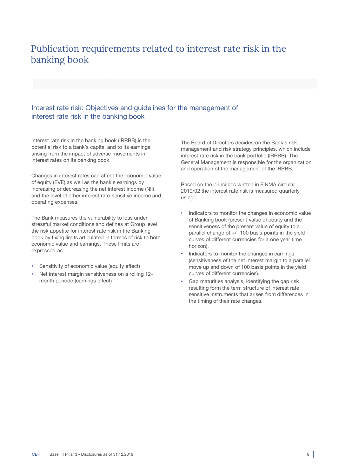## Publication requirements related to interest rate risk in the banking book

### Interest rate risk: Objectives and guidelines for the management of interest rate risk in the banking book

Interest rate risk in the banking book (IRRBB) is the potential risk to a bank's capital and to its earnings, arising from the impact of adverse movements in interest rates on its banking book.

Changes in interest rates can affect the economic value of equity (EVE) as well as the bank's earnings by increasing or decreasing the net interest income (NII) and the level of other interest rate-sensitive income and operating expenses.

The Bank measures the vulnerability to loss under stressful market conditions and defines at Group level the risk appetite for interest rate risk in the Banking book by fixing limits articulated in termes of risk to both economic value and earnings. These limits are expressed as:

- Sensitivity of economic value (equity effect)
- Net interest margin sensitiveness on a rolling 12 month periode (earnings effect)

The Board of Directors decides on the Bank's risk management and risk strategy principles, which include interest rate risk in the bank portfolio (IRRBB). The General Management is responsible for the organization and operation of the management of the IRRBB.

Based on the principles written in FINMA circular 2019/02 the interest rate risk is measured quarterly using:

- Indicators to monitor the changes in economic value of Banking book (present value of equity and the sensitiveness of the present value of equity to a parallel change of +/- 100 basis points in the yield curves of different currencies for a one year time horizon).
- Indicators to monitor the changes in earnings (sensitiveness of the net interest margin to a parallel move up and down of 100 basis points in the yield curves of different currencies).
- Gap maturities analysis, identifying the gap risk resulting form the term structure of interest rate sensitive instruments that arises from differences in the timing of their rate changes.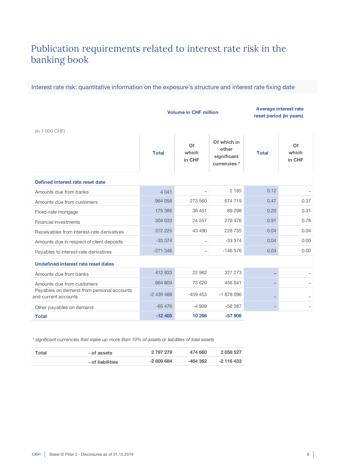## Publication requirements related to interest rate risk in the banking book

Interest rate risk: quantitative information on the exposure's structure and interest rate fixing date

#### Volume in CHF million Average interest rate reset period (in years)

(in 1'000 CHF)

| $\left( \frac{1}{2} \right)$                                      |              |                          |                                                     |              |                       |
|-------------------------------------------------------------------|--------------|--------------------------|-----------------------------------------------------|--------------|-----------------------|
|                                                                   | <b>Total</b> | Of<br>which<br>in CHF    | Of which in<br>other<br>significant<br>currencies * | <b>Total</b> | Of<br>which<br>in CHF |
| Defined interest rate reset date                                  |              |                          |                                                     |              |                       |
| Amounts due from banks                                            | 4 0 4 1      |                          | 2 1 8 5                                             | 0.12         |                       |
| Amounts due from customers                                        | 964 058      | 273 560                  | 674 719                                             | 0.47         | 0.37                  |
| Fixed-rate mortgage                                               | 175 385      | 36 451                   | 89 298                                              | 0.20         | 0.31                  |
| <b>Financial investments</b>                                      | 304 033      | 24 557                   | 279 476                                             | 0.91         | 0.78                  |
| Receivables from interest-rate derivatives                        | 272 225      | 43 490                   | 228 735                                             | 0.04         | 0.04                  |
| Amounts due in respect of client deposits                         | $-333374$    | $\overline{\phantom{m}}$ | $-333374$                                           | 0.04         | 0.00                  |
| Payables to interest-rate derivatives                             | $-271346$    | $\qquad \qquad -$        | $-146576$                                           | 0.04         | 0.00                  |
| <b>Undefined interest rate reset dates</b>                        |              |                          |                                                     |              |                       |
| Amounts due from banks                                            | 412 933      | 22 982                   | 327 273                                             |              |                       |
| Amounts due from customers                                        | 664 604      | 73 620                   | 456 841                                             |              |                       |
| Payables on demand from personal accounts<br>and current accounts | $-2439488$   | $-459453$                | $-1878096$                                          | -            |                       |
| Other payables on demand                                          | $-65476$     | $-4909$                  | $-58387$                                            |              |                       |
| <b>Total</b>                                                      | $-12405$     | 10 298                   | $-57906$                                            |              |                       |

*\* significant currencies that make up more than 10% of assets or liabilities of total assets*

| Total | - of assets      | 2 797 279  | 474 660  | 2 058 527  |
|-------|------------------|------------|----------|------------|
|       | - of liabilities | $-2809684$ | -464 362 | -2 116 433 |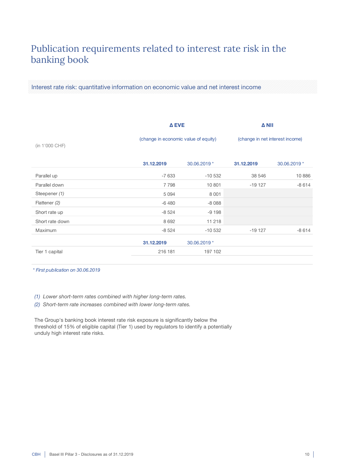## Publication requirements related to interest rate risk in the banking book

Interest rate risk: quantitative information on economic value and net interest income

|                 | Δ EVE                                |              | <b>A NII</b>                    |              |
|-----------------|--------------------------------------|--------------|---------------------------------|--------------|
| (in 1'000 CHF)  | (change in economic value of equity) |              | (change in net interest income) |              |
|                 | 31.12.2019                           | 30.06.2019 * | 31.12.2019                      | 30.06.2019 * |
| Parallel up     | $-7633$                              | $-10532$     | 38 546                          | 10886        |
| Parallel down   | 7798                                 | 10 801       | $-19127$                        | $-8614$      |
| Steepener (1)   | 5 0 9 4                              | 8 0 0 1      |                                 |              |
| Flattener (2)   | $-6480$                              | $-8088$      |                                 |              |
| Short rate up   | $-8524$                              | $-9198$      |                                 |              |
| Short rate down | 8 6 9 2                              | 11 218       |                                 |              |
| Maximum         | $-8524$                              | $-10532$     | $-19127$                        | $-8614$      |
|                 | 31.12.2019                           | 30.06.2019 * |                                 |              |
| Tier 1 capital  | 216 181                              | 197 102      |                                 |              |

*\* First publication on 30.06.2019*

*(1) Lower short-term rates combined with higher long-term rates.*

*(2) Short-term rate increases combined with lower long-term rates.*

The Group's banking book interest rate risk exposure is significantly below the threshold of 15% of eligible capital (Tier 1) used by regulators to identify a potentially unduly high interest rate risks.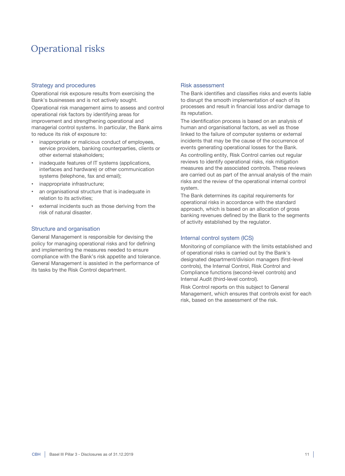## Operational risks

#### Strategy and procedures

Operational risk exposure results from exercising the Bank's businesses and is not actively sought.

Operational risk management aims to assess and control operational risk factors by identifying areas for improvement and strengthening operational and managerial control systems. In particular, the Bank aims to reduce its risk of exposure to:

- inappropriate or malicious conduct of employees, service providers, banking counterparties, clients or other external stakeholders;
- inadequate features of IT systems (applications, interfaces and hardware) or other communication systems (telephone, fax and email);
- inappropriate infrastructure;
- an organisational structure that is inadequate in relation to its activities;
- external incidents such as those deriving from the risk of natural disaster.

#### Structure and organisation

General Management is responsible for devising the policy for managing operational risks and for defining and implementing the measures needed to ensure compliance with the Bank's risk appetite and tolerance. General Management is assisted in the performance of its tasks by the Risk Control department.

#### Risk assessment

The Bank identifies and classifies risks and events liable to disrupt the smooth implementation of each of its processes and result in financial loss and/or damage to its reputation.

The identification process is based on an analysis of human and organisational factors, as well as those linked to the failure of computer systems or external incidents that may be the cause of the occurrence of events generating operational losses for the Bank.

As controlling entity, Risk Control carries out regular reviews to identify operational risks, risk mitigation measures and the associated controls. These reviews are carried out as part of the annual analysis of the main risks and the review of the operational internal control system.

The Bank determines its capital requirements for operational risks in accordance with the standard approach, which is based on an allocation of gross banking revenues defined by the Bank to the segments of activity established by the regulator.

#### Internal control system (ICS)

Monitoring of compliance with the limits established and of operational risks is carried out by the Bank's designated department/division managers (first-level controls), the Internal Control, Risk Control and Compliance functions (second-level controls) and Internal Audit (third-level control).

Risk Control reports on this subject to General Management, which ensures that controls exist for each risk, based on the assessment of the risk.